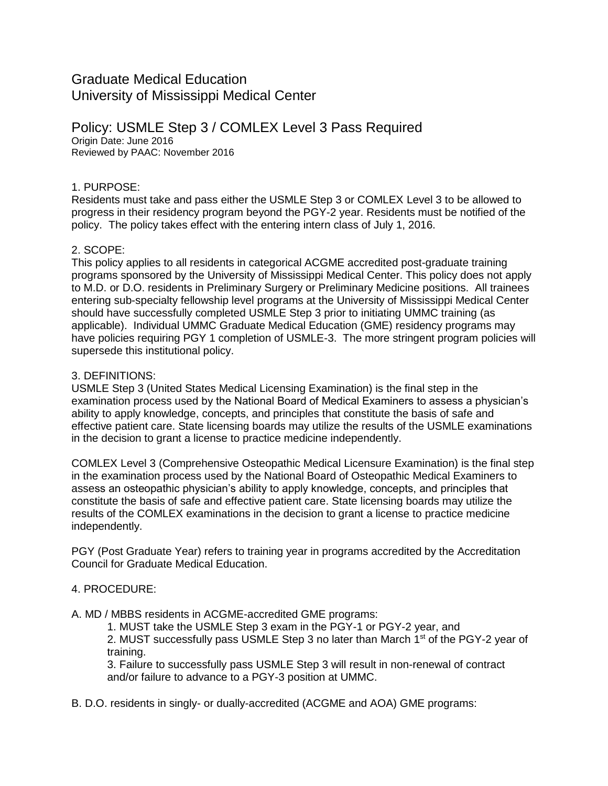# Graduate Medical Education University of Mississippi Medical Center

Policy: USMLE Step 3 / COMLEX Level 3 Pass Required Origin Date: June 2016 Reviewed by PAAC: November 2016

### 1. PURPOSE:

Residents must take and pass either the USMLE Step 3 or COMLEX Level 3 to be allowed to progress in their residency program beyond the PGY-2 year. Residents must be notified of the policy. The policy takes effect with the entering intern class of July 1, 2016.

#### 2. SCOPE:

This policy applies to all residents in categorical ACGME accredited post-graduate training programs sponsored by the University of Mississippi Medical Center. This policy does not apply to M.D. or D.O. residents in Preliminary Surgery or Preliminary Medicine positions. All trainees entering sub-specialty fellowship level programs at the University of Mississippi Medical Center should have successfully completed USMLE Step 3 prior to initiating UMMC training (as applicable). Individual UMMC Graduate Medical Education (GME) residency programs may have policies requiring PGY 1 completion of USMLE-3. The more stringent program policies will supersede this institutional policy.

#### 3. DEFINITIONS:

USMLE Step 3 (United States Medical Licensing Examination) is the final step in the examination process used by the National Board of Medical Examiners to assess a physician's ability to apply knowledge, concepts, and principles that constitute the basis of safe and effective patient care. State licensing boards may utilize the results of the USMLE examinations in the decision to grant a license to practice medicine independently.

COMLEX Level 3 (Comprehensive Osteopathic Medical Licensure Examination) is the final step in the examination process used by the National Board of Osteopathic Medical Examiners to assess an osteopathic physician's ability to apply knowledge, concepts, and principles that constitute the basis of safe and effective patient care. State licensing boards may utilize the results of the COMLEX examinations in the decision to grant a license to practice medicine independently.

PGY (Post Graduate Year) refers to training year in programs accredited by the Accreditation Council for Graduate Medical Education.

## 4. PROCEDURE:

A. MD / MBBS residents in ACGME-accredited GME programs:

1. MUST take the USMLE Step 3 exam in the PGY-1 or PGY-2 year, and 2. MUST successfully pass USMLE Step 3 no later than March 1<sup>st</sup> of the PGY-2 year of training.

3. Failure to successfully pass USMLE Step 3 will result in non-renewal of contract and/or failure to advance to a PGY-3 position at UMMC.

B. D.O. residents in singly- or dually-accredited (ACGME and AOA) GME programs: